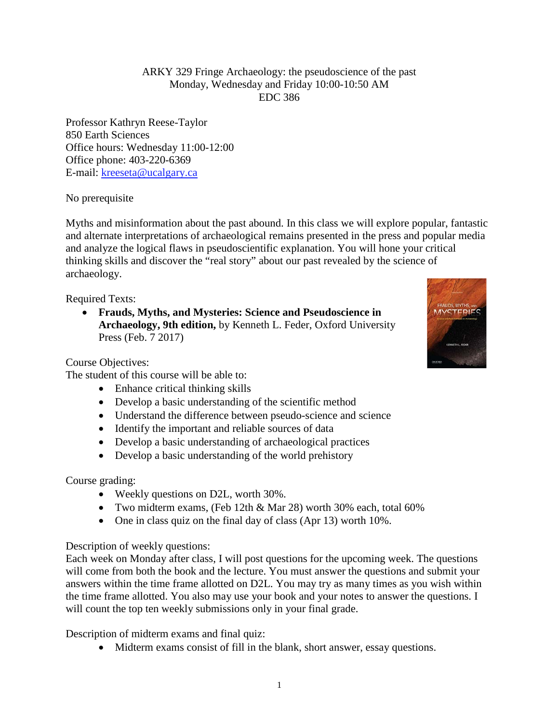ARKY 329 Fringe Archaeology: the pseudoscience of the past Monday, Wednesday and Friday 10:00-10:50 AM EDC 386

Professor Kathryn Reese-Taylor 850 Earth Sciences Office hours: Wednesday 11:00-12:00 Office phone: 403-220-6369 E-mail: [kreeseta@ucalgary.ca](mailto:k_reesetaylor@yahoo.com)

No prerequisite

Myths and misinformation about the past abound. In this class we will explore popular, fantastic and alternate interpretations of archaeological remains presented in the press and popular media and analyze the logical flaws in pseudoscientific explanation. You will hone your critical thinking skills and discover the "real story" about our past revealed by the science of archaeology.

Required Texts:

• **Frauds, Myths, and Mysteries: Science and Pseudoscience in Archaeology, 9th edition,** by Kenneth L. Feder, Oxford University Press (Feb. 7 2017)

Course Objectives:

The student of this course will be able to:

- Enhance critical thinking skills
- Develop a basic understanding of the scientific method
- Understand the difference between pseudo-science and science
- Identify the important and reliable sources of data
- Develop a basic understanding of archaeological practices
- Develop a basic understanding of the world prehistory

Course grading:

- Weekly questions on D2L, worth 30%.
- Two midterm exams, (Feb 12th & Mar 28) worth 30% each, total 60%
- One in class quiz on the final day of class (Apr 13) worth 10%.

Description of weekly questions:

Each week on Monday after class, I will post questions for the upcoming week. The questions will come from both the book and the lecture. You must answer the questions and submit your answers within the time frame allotted on D2L. You may try as many times as you wish within the time frame allotted. You also may use your book and your notes to answer the questions. I will count the top ten weekly submissions only in your final grade.

Description of midterm exams and final quiz:

• Midterm exams consist of fill in the blank, short answer, essay questions.

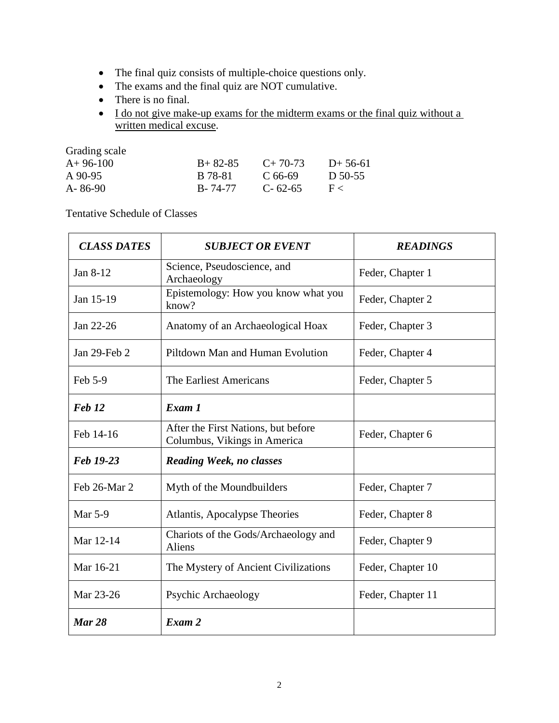- The final quiz consists of multiple-choice questions only.
- The exams and the final quiz are NOT cumulative.
- There is no final.
- I do not give make-up exams for the midterm exams or the final quiz without a written medical excuse.

Grading scale

| $A+96-100$ | $B+82-85$ | $C+70-73$     | $D+56-61$ |
|------------|-----------|---------------|-----------|
| A 90-95    | B 78-81   | C 66-69       | D 50-55   |
| A-86-90    | B-74-77   | $C - 62 - 65$ | H <       |

Tentative Schedule of Classes

| <b>CLASS DATES</b> | <b>SUBJECT OR EVENT</b>                                             | <b>READINGS</b>   |
|--------------------|---------------------------------------------------------------------|-------------------|
| Jan 8-12           | Science, Pseudoscience, and<br>Archaeology                          | Feder, Chapter 1  |
| Jan 15-19          | Epistemology: How you know what you<br>know?                        | Feder, Chapter 2  |
| Jan 22-26          | Anatomy of an Archaeological Hoax                                   | Feder, Chapter 3  |
| Jan 29-Feb 2       | Piltdown Man and Human Evolution                                    | Feder, Chapter 4  |
| Feb 5-9            | The Earliest Americans                                              | Feder, Chapter 5  |
| Feb <sub>12</sub>  | Exam 1                                                              |                   |
| Feb 14-16          | After the First Nations, but before<br>Columbus, Vikings in America | Feder, Chapter 6  |
| Feb 19-23          | <b>Reading Week, no classes</b>                                     |                   |
| Feb 26-Mar 2       | Myth of the Moundbuilders                                           | Feder, Chapter 7  |
| Mar 5-9            | Atlantis, Apocalypse Theories                                       | Feder, Chapter 8  |
| Mar 12-14          | Chariots of the Gods/Archaeology and<br>Aliens                      | Feder, Chapter 9  |
| Mar 16-21          | The Mystery of Ancient Civilizations                                | Feder, Chapter 10 |
| Mar 23-26          | Psychic Archaeology                                                 | Feder, Chapter 11 |
| <b>Mar 28</b>      | Exam 2                                                              |                   |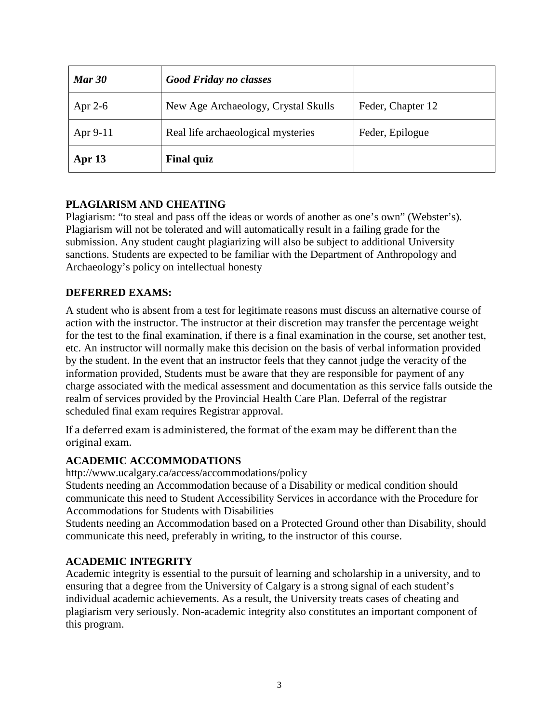| <b>Mar 30</b> | <b>Good Friday no classes</b>       |                   |
|---------------|-------------------------------------|-------------------|
| Apr $2-6$     | New Age Archaeology, Crystal Skulls | Feder, Chapter 12 |
| Apr $9-11$    | Real life archaeological mysteries  | Feder, Epilogue   |
| Apr $13$      | <b>Final quiz</b>                   |                   |

# **PLAGIARISM AND CHEATING**

Plagiarism: "to steal and pass off the ideas or words of another as one's own" (Webster's). Plagiarism will not be tolerated and will automatically result in a failing grade for the submission. Any student caught plagiarizing will also be subject to additional University sanctions. Students are expected to be familiar with the Department of Anthropology and Archaeology's policy on intellectual honesty

## **DEFERRED EXAMS:**

A student who is absent from a test for legitimate reasons must discuss an alternative course of action with the instructor. The instructor at their discretion may transfer the percentage weight for the test to the final examination, if there is a final examination in the course, set another test, etc. An instructor will normally make this decision on the basis of verbal information provided by the student. In the event that an instructor feels that they cannot judge the veracity of the information provided, Students must be aware that they are responsible for payment of any charge associated with the medical assessment and documentation as this service falls outside the realm of services provided by the Provincial Health Care Plan. Deferral of the registrar scheduled final exam requires Registrar approval.

If a deferred exam is administered, the format of the exam may be different than the original exam.

## **ACADEMIC ACCOMMODATIONS**

http://www.ucalgary.ca/access/accommodations/policy

Students needing an Accommodation because of a Disability or medical condition should communicate this need to Student Accessibility Services in accordance with the Procedure for Accommodations for Students with Disabilities

Students needing an Accommodation based on a Protected Ground other than Disability, should communicate this need, preferably in writing, to the instructor of this course.

#### **ACADEMIC INTEGRITY**

Academic integrity is essential to the pursuit of learning and scholarship in a university, and to ensuring that a degree from the University of Calgary is a strong signal of each student's individual academic achievements. As a result, the University treats cases of cheating and plagiarism very seriously. Non-academic integrity also constitutes an important component of this program.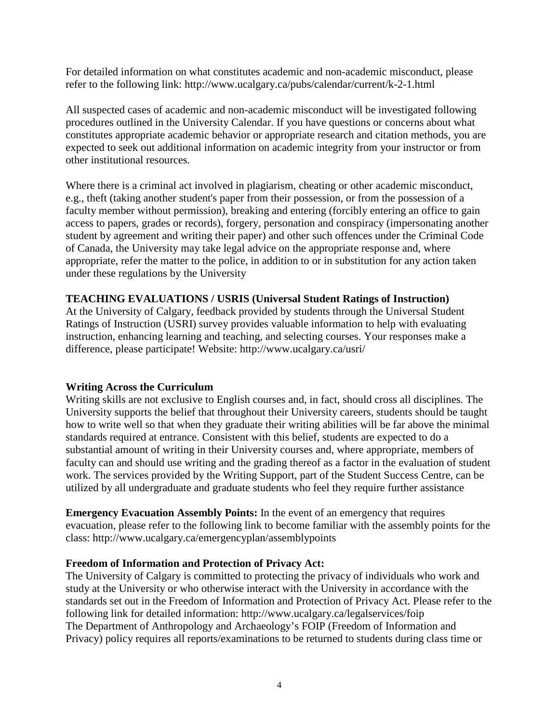For detailed information on what constitutes academic and non-academic misconduct, please refer to the following link: http://www.ucalgary.ca/pubs/calendar/current/k-2-1.html

All suspected cases of academic and non-academic misconduct will be investigated following procedures outlined in the University Calendar. If you have questions or concerns about what constitutes appropriate academic behavior or appropriate research and citation methods, you are expected to seek out additional information on academic integrity from your instructor or from other institutional resources.

Where there is a criminal act involved in plagiarism, cheating or other academic misconduct, e.g., theft (taking another student's paper from their possession, or from the possession of a faculty member without permission), breaking and entering (forcibly entering an office to gain access to papers, grades or records), forgery, personation and conspiracy (impersonating another student by agreement and writing their paper) and other such offences under the Criminal Code of Canada, the University may take legal advice on the appropriate response and, where appropriate, refer the matter to the police, in addition to or in substitution for any action taken under these regulations by the University

### **TEACHING EVALUATIONS / USRIS (Universal Student Ratings of Instruction)**

At the University of Calgary, feedback provided by students through the Universal Student Ratings of Instruction (USRI) survey provides valuable information to help with evaluating instruction, enhancing learning and teaching, and selecting courses. Your responses make a difference, please participate! Website: http://www.ucalgary.ca/usri/

#### **Writing Across the Curriculum**

Writing skills are not exclusive to English courses and, in fact, should cross all disciplines. The University supports the belief that throughout their University careers, students should be taught how to write well so that when they graduate their writing abilities will be far above the minimal standards required at entrance. Consistent with this belief, students are expected to do a substantial amount of writing in their University courses and, where appropriate, members of faculty can and should use writing and the grading thereof as a factor in the evaluation of student work. The services provided by the Writing Support, part of the Student Success Centre, can be utilized by all undergraduate and graduate students who feel they require further assistance

**Emergency Evacuation Assembly Points:** In the event of an emergency that requires evacuation, please refer to the following link to become familiar with the assembly points for the class: http://www.ucalgary.ca/emergencyplan/assemblypoints

#### **Freedom of Information and Protection of Privacy Act:**

The University of Calgary is committed to protecting the privacy of individuals who work and study at the University or who otherwise interact with the University in accordance with the standards set out in the Freedom of Information and Protection of Privacy Act. Please refer to the following link for detailed information: http://www.ucalgary.ca/legalservices/foip The Department of Anthropology and Archaeology's FOIP (Freedom of Information and Privacy) policy requires all reports/examinations to be returned to students during class time or